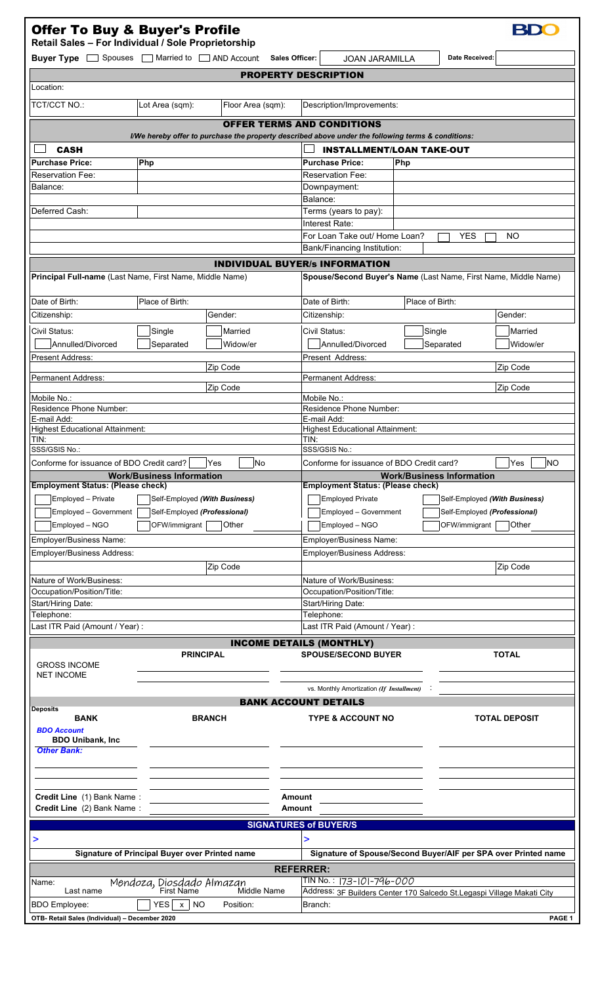| <b>Offer To Buy &amp; Buyer's Profile</b><br>Retail Sales - For Individual / Sole Proprietorship                                |                                                |                                     |                                                                                                    |                                  |                                                                 |
|---------------------------------------------------------------------------------------------------------------------------------|------------------------------------------------|-------------------------------------|----------------------------------------------------------------------------------------------------|----------------------------------|-----------------------------------------------------------------|
| Buyer Type Spouses                                                                                                              |                                                | Married to <b>Quart</b> AND Account | <b>Sales Officer:</b><br><b>JOAN JARAMILLA</b>                                                     | Date Received:                   |                                                                 |
| Location:                                                                                                                       |                                                |                                     | <b>PROPERTY DESCRIPTION</b>                                                                        |                                  |                                                                 |
|                                                                                                                                 |                                                |                                     |                                                                                                    |                                  |                                                                 |
| <b>TCT/CCT NO.:</b>                                                                                                             | Lot Area (sqm):                                | Floor Area (sqm):                   | Description/Improvements:                                                                          |                                  |                                                                 |
|                                                                                                                                 |                                                |                                     | <b>OFFER TERMS AND CONDITIONS</b>                                                                  |                                  |                                                                 |
|                                                                                                                                 |                                                |                                     | I/We hereby offer to purchase the property described above under the following terms & conditions: |                                  |                                                                 |
| <b>CASH</b>                                                                                                                     |                                                |                                     |                                                                                                    | <b>INSTALLMENT/LOAN TAKE-OUT</b> |                                                                 |
| <b>Purchase Price:</b><br><b>Reservation Fee:</b>                                                                               | Php                                            |                                     | <b>Purchase Price:</b><br><b>Reservation Fee:</b>                                                  | Php                              |                                                                 |
| Balance:                                                                                                                        |                                                |                                     | Downpayment:                                                                                       |                                  |                                                                 |
|                                                                                                                                 |                                                |                                     | Balance:                                                                                           |                                  |                                                                 |
| Deferred Cash:                                                                                                                  |                                                |                                     | Terms (years to pay):                                                                              |                                  |                                                                 |
|                                                                                                                                 |                                                |                                     | Interest Rate:<br>For Loan Take out/ Home Loan?                                                    | <b>YES</b>                       | NO                                                              |
|                                                                                                                                 |                                                |                                     | Bank/Financing Institution:                                                                        |                                  |                                                                 |
|                                                                                                                                 |                                                |                                     | <b>INDIVIDUAL BUYER/S INFORMATION</b>                                                              |                                  |                                                                 |
| Principal Full-name (Last Name, First Name, Middle Name)                                                                        |                                                |                                     |                                                                                                    |                                  | Spouse/Second Buyer's Name (Last Name, First Name, Middle Name) |
|                                                                                                                                 |                                                |                                     |                                                                                                    |                                  |                                                                 |
| Date of Birth:                                                                                                                  | Place of Birth:                                |                                     | Date of Birth:                                                                                     | Place of Birth:                  |                                                                 |
| Citizenship:                                                                                                                    |                                                | Gender:                             | Citizenship:                                                                                       |                                  | Gender:                                                         |
| Civil Status:                                                                                                                   | Single                                         | Married                             | Civil Status:                                                                                      | Single                           | Married                                                         |
| Annulled/Divorced                                                                                                               | Separated                                      | Widow/er                            | Annulled/Divorced                                                                                  | Separated                        | Widow/er                                                        |
| <b>Present Address:</b>                                                                                                         |                                                | Zip Code                            | Present Address:                                                                                   |                                  | Zip Code                                                        |
| <b>Permanent Address:</b>                                                                                                       |                                                |                                     | <b>Permanent Address:</b>                                                                          |                                  |                                                                 |
| Mobile No.:                                                                                                                     |                                                | Zip Code                            | Mobile No.:                                                                                        |                                  | Zip Code                                                        |
| <b>Residence Phone Number:</b>                                                                                                  |                                                |                                     | Residence Phone Number:                                                                            |                                  |                                                                 |
| E-mail Add:                                                                                                                     |                                                |                                     | E-mail Add:                                                                                        |                                  |                                                                 |
| <b>Highest Educational Attainment:</b><br>TIN:                                                                                  |                                                |                                     | <b>Highest Educational Attainment:</b><br>TIN:                                                     |                                  |                                                                 |
| SSS/GSIS No.:                                                                                                                   |                                                |                                     | SSS/GSIS No.:                                                                                      |                                  |                                                                 |
| Conforme for issuance of BDO Credit card? $\boxed{\phantom{\underline{a}}\phantom{\underline{b}}\phantom{\underline{b}}\,}$ Yes |                                                | No                                  | Conforme for issuance of BDO Credit card?                                                          |                                  | Yes<br>NO                                                       |
| <b>Employment Status: (Please check)</b>                                                                                        | <b>Work/Business Information</b>               |                                     | <b>Employment Status: (Please check)</b>                                                           | <b>Work/Business Information</b> |                                                                 |
| Employed - Private                                                                                                              |                                                | Self-Employed (With Business)       | Employed Private<br>Self-Employed (With Business)                                                  |                                  |                                                                 |
| Employed - Government<br>Self-Employed (Professional)                                                                           |                                                |                                     | Employed - Government<br>Self-Employed (Professional)                                              |                                  |                                                                 |
| Employed - NGO                                                                                                                  | OFW/immigrant                                  | Other                               | Other<br>Employed - NGO<br>OFW/immigrant                                                           |                                  |                                                                 |
| Employer/Business Name:                                                                                                         |                                                |                                     | Employer/Business Name:                                                                            |                                  |                                                                 |
| Employer/Business Address:                                                                                                      |                                                |                                     | Employer/Business Address:                                                                         |                                  |                                                                 |
|                                                                                                                                 |                                                | Zip Code                            |                                                                                                    |                                  | Zip Code                                                        |
| Nature of Work/Business:                                                                                                        |                                                |                                     | Nature of Work/Business:                                                                           |                                  |                                                                 |
| Occupation/Position/Title:<br>Start/Hiring Date:                                                                                |                                                |                                     | Occupation/Position/Title:<br>Start/Hiring Date:                                                   |                                  |                                                                 |
| Telephone:                                                                                                                      |                                                |                                     | Telephone:                                                                                         |                                  |                                                                 |
| Last ITR Paid (Amount / Year) :                                                                                                 |                                                |                                     | Last ITR Paid (Amount / Year) :                                                                    |                                  |                                                                 |
|                                                                                                                                 |                                                |                                     | <b>INCOME DETAILS (MONTHLY)</b>                                                                    |                                  |                                                                 |
| <b>GROSS INCOME</b>                                                                                                             |                                                | <b>PRINCIPAL</b>                    | <b>SPOUSE/SECOND BUYER</b>                                                                         |                                  | <b>TOTAL</b>                                                    |
| <b>NET INCOME</b>                                                                                                               |                                                |                                     |                                                                                                    |                                  |                                                                 |
|                                                                                                                                 |                                                |                                     | vs. Monthly Amortization (If Installment)                                                          |                                  |                                                                 |
| <b>Deposits</b>                                                                                                                 |                                                |                                     | <b>BANK ACCOUNT DETAILS</b>                                                                        |                                  |                                                                 |
| <b>BANK</b><br><b>BDO Account</b>                                                                                               |                                                | <b>BRANCH</b>                       | <b>TYPE &amp; ACCOUNT NO</b>                                                                       |                                  | <b>TOTAL DEPOSIT</b>                                            |
| <b>BDO Unibank, Inc</b>                                                                                                         |                                                |                                     |                                                                                                    |                                  |                                                                 |
| <b>Other Bank:</b>                                                                                                              |                                                |                                     |                                                                                                    |                                  |                                                                 |
|                                                                                                                                 |                                                |                                     |                                                                                                    |                                  |                                                                 |
|                                                                                                                                 |                                                |                                     |                                                                                                    |                                  |                                                                 |
| Credit Line (1) Bank Name:<br>Amount                                                                                            |                                                |                                     |                                                                                                    |                                  |                                                                 |
| Credit Line (2) Bank Name:<br>Amount<br><b>SIGNATURES of BUYER/S</b>                                                            |                                                |                                     |                                                                                                    |                                  |                                                                 |
|                                                                                                                                 |                                                |                                     |                                                                                                    |                                  |                                                                 |
| >                                                                                                                               | Signature of Principal Buyer over Printed name |                                     | >                                                                                                  |                                  | Signature of Spouse/Second Buyer/AIF per SPA over Printed name  |
|                                                                                                                                 |                                                |                                     |                                                                                                    |                                  |                                                                 |
| <b>REFERRER:</b><br>TIN No. : 173-101-796-000<br>Mendoza, Diosdado Almazan<br>First Name<br>Name:                               |                                                |                                     |                                                                                                    |                                  |                                                                 |
| Last name                                                                                                                       |                                                | Middle Name                         | Address: 3F Builders Center 170 Salcedo St.Legaspi Village Makati City                             |                                  |                                                                 |
| <b>BDO</b> Employee:                                                                                                            | YES  x  <br><b>NO</b>                          | Position:                           | Branch:                                                                                            |                                  |                                                                 |
| OTB- Retail Sales (Individual) - December 2020                                                                                  |                                                |                                     |                                                                                                    |                                  | PAGE 1                                                          |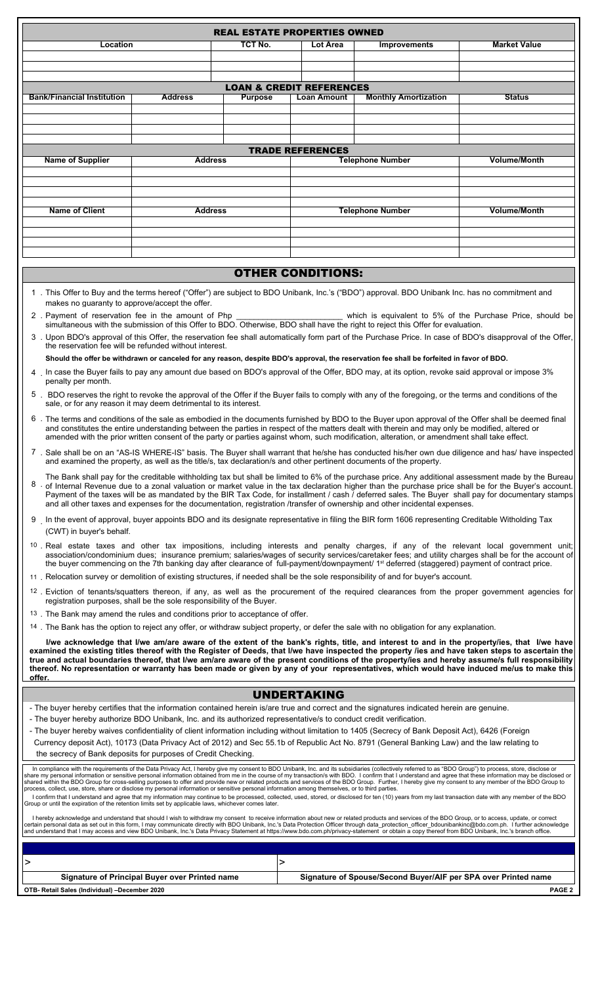| TCT No.<br><b>Market Value</b><br>Location<br>Lot Area<br><b>Improvements</b><br><b>LOAN &amp; CREDIT REFERENCES</b><br><b>Bank/Financial Institution</b><br><b>Address</b><br><b>Purpose</b><br><b>Loan Amount</b><br><b>Monthly Amortization</b><br><b>Status</b><br><b>TRADE REFERENCES</b><br><b>Volume/Month</b><br><b>Name of Supplier</b><br><b>Address</b><br><b>Telephone Number</b><br><b>Name of Client</b><br><b>Volume/Month</b><br><b>Telephone Number</b><br><b>Address</b><br><b>OTHER CONDITIONS:</b><br>1. This Offer to Buy and the terms hereof ("Offer") are subject to BDO Unibank, Inc.'s ("BDO") approval. BDO Unibank Inc. has no commitment and<br>makes no guaranty to approve/accept the offer.<br>2. Payment of reservation fee in the amount of Php<br>which is equivalent to 5% of the Purchase Price, should be<br>simultaneous with the submission of this Offer to BDO. Otherwise, BDO shall have the right to reject this Offer for evaluation.<br>3 . Upon BDO's approval of this Offer, the reservation fee shall automatically form part of the Purchase Price. In case of BDO's disapproval of the Offer,<br>the reservation fee will be refunded without interest.<br>Should the offer be withdrawn or canceled for any reason, despite BDO's approval, the reservation fee shall be forfeited in favor of BDO.<br>4. In case the Buyer fails to pay any amount due based on BDO's approval of the Offer, BDO may, at its option, revoke said approval or impose 3%<br>penalty per month.<br>5 . BDO reserves the right to revoke the approval of the Offer if the Buyer fails to comply with any of the foregoing, or the terms and conditions of the<br>sale, or for any reason it may deem detrimental to its interest.<br>6. The terms and conditions of the sale as embodied in the documents furnished by BDO to the Buyer upon approval of the Offer shall be deemed final<br>and constitutes the entire understanding between the parties in respect of the matters dealt with therein and may only be modified, altered or<br>amended with the prior written consent of the party or parties against whom, such modification, alteration, or amendment shall take effect.<br>7. Sale shall be on an "AS-IS WHERE-IS" basis. The Buyer shall warrant that he/she has conducted his/her own due diligence and has/ have inspected<br>and examined the property, as well as the title/s, tax declaration/s and other pertinent documents of the property.<br>The Bank shall pay for the creditable withholding tax but shall be limited to 6% of the purchase price. Any additional assessment made by the Bureau<br>8<br>of Internal Revenue due to a zonal valuation or market value in the tax declaration higher than the purchase price shall be for the Buyer's account.<br>Payment of the taxes will be as mandated by the BIR Tax Code, for installment / cash / deferred sales. The Buyer shall pay for documentary stamps<br>and all other taxes and expenses for the documentation, registration /transfer of ownership and other incidental expenses.<br>9 In the event of approval, buyer appoints BDO and its designate representative in filing the BIR form 1606 representing Creditable Witholding Tax<br>(CWT) in buyer's behalf.<br><sup>10</sup> . Real estate taxes and other tax impositions, including interests and penalty charges, if any of the relevant local government unit;<br>association/condominium dues; insurance premium; salaries/wages of security services/caretaker fees; and utility charges shall be for the account of<br>the buyer commencing on the 7th banking day after clearance of full-payment/downpayment/ 1 <sup>st</sup> deferred (staggered) payment of contract price.<br>11 Relocation survey or demolition of existing structures, if needed shall be the sole responsibility of and for buyer's account.<br><sup>12</sup> . Eviction of tenants/squatters thereon, if any, as well as the procurement of the required clearances from the proper government agencies for<br>registration purposes, shall be the sole responsibility of the Buyer.<br><sup>13</sup> . The Bank may amend the rules and conditions prior to acceptance of offer.<br><sup>14</sup> . The Bank has the option to reject any offer, or withdraw subject property, or defer the sale with no obligation for any explanation.<br>I/we acknowledge that I/we am/are aware of the extent of the bank's rights, title, and interest to and in the property/ies, that I/we have<br>examined the existing titles thereof with the Register of Deeds, that I/we have inspected the property /ies and have taken steps to ascertain the<br>true and actual boundaries thereof, that I/we am/are aware of the present conditions of the property/ies and hereby assume/s full responsibility<br>thereof. No representation or warranty has been made or given by any of your representatives, which would have induced me/us to make this<br>offer.<br><b>UNDERTAKING</b><br>- The buyer hereby certifies that the information contained herein is/are true and correct and the signatures indicated herein are genuine.<br>- The buyer hereby authorize BDO Unibank, Inc. and its authorized representative/s to conduct credit verification.<br>- The buyer hereby waives confidentiality of client information including without limitation to 1405 (Secrecy of Bank Deposit Act), 6426 (Foreign<br>Currency deposit Act), 10173 (Data Privacy Act of 2012) and Sec 55.1b of Republic Act No. 8791 (General Banking Law) and the law relating to<br>the secrecy of Bank deposits for purposes of Credit Checking.<br>In compliance with the requirements of the Data Privacy Act, I hereby give my consent to BDO Unibank, Inc. and its subsidiaries (collectively referred to as "BDO Group") to process, store, disclose or<br>share my personal information or sensitive personal information obtained from me in the course of my transaction/s with BDO. I confirm that I understand and agree that these information may be disclosed or<br>shared within the BDO Group for cross-selling purposes to offer and provide new or related products and services of the BDO Group. Further, I hereby give my consent to any member of the BDO Group to<br>process, collect, use, store, share or disclose my personal information or sensitive personal information among themselves, or to third parties.<br>I confirm that I understand and agree that my information may continue to be processed, collected, used, stored, or disclosed for ten (10) years from my last transaction date with any member of the BDO<br>Group or until the expiration of the retention limits set by applicable laws, whichever comes later.<br>I hereby acknowledge and understand that should I wish to withdraw my consent to receive information about new or related products and services of the BDO Group, or to access, update, or correct<br>certain personal data as set out in this form, I may communicate directly with BDO Unibank, Inc.'s Data Protection Officer through data protection officer bdounibankinc@bdo.com.ph. I further acknowledge<br>and understand that I may access and view BDO Unibank, Inc.'s Data Privacy Statement at https://www.bdo.com.ph/privacy-statement or obtain a copy thereof from BDO Unibank, Inc.'s branch office.<br>><br>><br>Signature of Spouse/Second Buyer/AIF per SPA over Printed name<br>Signature of Principal Buyer over Printed name<br>PAGE <sub>2</sub><br>OTB- Retail Sales (Individual) -December 2020 | <b>REAL ESTATE PROPERTIES OWNED</b> |  |  |  |  |  |  |
|---------------------------------------------------------------------------------------------------------------------------------------------------------------------------------------------------------------------------------------------------------------------------------------------------------------------------------------------------------------------------------------------------------------------------------------------------------------------------------------------------------------------------------------------------------------------------------------------------------------------------------------------------------------------------------------------------------------------------------------------------------------------------------------------------------------------------------------------------------------------------------------------------------------------------------------------------------------------------------------------------------------------------------------------------------------------------------------------------------------------------------------------------------------------------------------------------------------------------------------------------------------------------------------------------------------------------------------------------------------------------------------------------------------------------------------------------------------------------------------------------------------------------------------------------------------------------------------------------------------------------------------------------------------------------------------------------------------------------------------------------------------------------------------------------------------------------------------------------------------------------------------------------------------------------------------------------------------------------------------------------------------------------------------------------------------------------------------------------------------------------------------------------------------------------------------------------------------------------------------------------------------------------------------------------------------------------------------------------------------------------------------------------------------------------------------------------------------------------------------------------------------------------------------------------------------------------------------------------------------------------------------------------------------------------------------------------------------------------------------------------------------------------------------------------------------------------------------------------------------------------------------------------------------------------------------------------------------------------------------------------------------------------------------------------------------------------------------------------------------------------------------------------------------------------------------------------------------------------------------------------------------------------------------------------------------------------------------------------------------------------------------------------------------------------------------------------------------------------------------------------------------------------------------------------------------------------------------------------------------------------------------------------------------------------------------------------------------------------------------------------------------------------------------------------------------------------------------------------------------------------------------------------------------------------------------------------------------------------------------------------------------------------------------------------------------------------------------------------------------------------------------------------------------------------------------------------------------------------------------------------------------------------------------------------------------------------------------------------------------------------------------------------------------------------------------------------------------------------------------------------------------------------------------------------------------------------------------------------------------------------------------------------------------------------------------------------------------------------------------------------------------------------------------------------------------------------------------------------------------------------------------------------------------------------------------------------------------------------------------------------------------------------------------------------------------------------------------------------------------------------------------------------------------------------------------------------------------------------------------------------------------------------------------------------------------------------------------------------------------------------------------------------------------------------------------------------------------------------------------------------------------------------------------------------------------------------------------------------------------------------------------------------------------------------------------------------------------------------------------------------------------------------------------------------------------------------------------------------------------------------------------------------------------------------------------------------------------------------------------------------------------------------------------------------------------------------------------------------------------------------------------------------------------------------------------------------------------------------------------------------------------------------------------------------------------------------------------------------------------------------------------------------------------------------------------------------------------------------------------------------------------------------------------------------------------------------------------------------------------------------------------------------------------------------------------------------------------------------------------------------------------------------------------------------------------------------------------------------------------------------------------------------------------------------------------------------------------------------------------------------------------------------------------------------------------------------------------------------------------------------------------------------------------------------------------------------------------------------------------------------------------------------------------------------------------------------------------------------------------------------------------------------------------------------------------------------------------------------------------------------------------------------------------------------------------------------------------------------------------------------------------------|-------------------------------------|--|--|--|--|--|--|
|                                                                                                                                                                                                                                                                                                                                                                                                                                                                                                                                                                                                                                                                                                                                                                                                                                                                                                                                                                                                                                                                                                                                                                                                                                                                                                                                                                                                                                                                                                                                                                                                                                                                                                                                                                                                                                                                                                                                                                                                                                                                                                                                                                                                                                                                                                                                                                                                                                                                                                                                                                                                                                                                                                                                                                                                                                                                                                                                                                                                                                                                                                                                                                                                                                                                                                                                                                                                                                                                                                                                                                                                                                                                                                                                                                                                                                                                                                                                                                                                                                                                                                                                                                                                                                                                                                                                                                                                                                                                                                                                                                                                                                                                                                                                                                                                                                                                                                                                                                                                                                                                                                                                                                                                                                                                                                                                                                                                                                                                                                                                                                                                                                                                                                                                                                                                                                                                                                                                                                                                                                                                                                                                                                                                                                                                                                                                                                                                                                                                                                                                                                                                                                                                                                                                                                                                                                                                                                                                                                                                                                                                                                                                                                                                                                                                                                                                                                                                                                                                                                                                                                                                                                             |                                     |  |  |  |  |  |  |
|                                                                                                                                                                                                                                                                                                                                                                                                                                                                                                                                                                                                                                                                                                                                                                                                                                                                                                                                                                                                                                                                                                                                                                                                                                                                                                                                                                                                                                                                                                                                                                                                                                                                                                                                                                                                                                                                                                                                                                                                                                                                                                                                                                                                                                                                                                                                                                                                                                                                                                                                                                                                                                                                                                                                                                                                                                                                                                                                                                                                                                                                                                                                                                                                                                                                                                                                                                                                                                                                                                                                                                                                                                                                                                                                                                                                                                                                                                                                                                                                                                                                                                                                                                                                                                                                                                                                                                                                                                                                                                                                                                                                                                                                                                                                                                                                                                                                                                                                                                                                                                                                                                                                                                                                                                                                                                                                                                                                                                                                                                                                                                                                                                                                                                                                                                                                                                                                                                                                                                                                                                                                                                                                                                                                                                                                                                                                                                                                                                                                                                                                                                                                                                                                                                                                                                                                                                                                                                                                                                                                                                                                                                                                                                                                                                                                                                                                                                                                                                                                                                                                                                                                                                             |                                     |  |  |  |  |  |  |
|                                                                                                                                                                                                                                                                                                                                                                                                                                                                                                                                                                                                                                                                                                                                                                                                                                                                                                                                                                                                                                                                                                                                                                                                                                                                                                                                                                                                                                                                                                                                                                                                                                                                                                                                                                                                                                                                                                                                                                                                                                                                                                                                                                                                                                                                                                                                                                                                                                                                                                                                                                                                                                                                                                                                                                                                                                                                                                                                                                                                                                                                                                                                                                                                                                                                                                                                                                                                                                                                                                                                                                                                                                                                                                                                                                                                                                                                                                                                                                                                                                                                                                                                                                                                                                                                                                                                                                                                                                                                                                                                                                                                                                                                                                                                                                                                                                                                                                                                                                                                                                                                                                                                                                                                                                                                                                                                                                                                                                                                                                                                                                                                                                                                                                                                                                                                                                                                                                                                                                                                                                                                                                                                                                                                                                                                                                                                                                                                                                                                                                                                                                                                                                                                                                                                                                                                                                                                                                                                                                                                                                                                                                                                                                                                                                                                                                                                                                                                                                                                                                                                                                                                                                             |                                     |  |  |  |  |  |  |
|                                                                                                                                                                                                                                                                                                                                                                                                                                                                                                                                                                                                                                                                                                                                                                                                                                                                                                                                                                                                                                                                                                                                                                                                                                                                                                                                                                                                                                                                                                                                                                                                                                                                                                                                                                                                                                                                                                                                                                                                                                                                                                                                                                                                                                                                                                                                                                                                                                                                                                                                                                                                                                                                                                                                                                                                                                                                                                                                                                                                                                                                                                                                                                                                                                                                                                                                                                                                                                                                                                                                                                                                                                                                                                                                                                                                                                                                                                                                                                                                                                                                                                                                                                                                                                                                                                                                                                                                                                                                                                                                                                                                                                                                                                                                                                                                                                                                                                                                                                                                                                                                                                                                                                                                                                                                                                                                                                                                                                                                                                                                                                                                                                                                                                                                                                                                                                                                                                                                                                                                                                                                                                                                                                                                                                                                                                                                                                                                                                                                                                                                                                                                                                                                                                                                                                                                                                                                                                                                                                                                                                                                                                                                                                                                                                                                                                                                                                                                                                                                                                                                                                                                                                             |                                     |  |  |  |  |  |  |
|                                                                                                                                                                                                                                                                                                                                                                                                                                                                                                                                                                                                                                                                                                                                                                                                                                                                                                                                                                                                                                                                                                                                                                                                                                                                                                                                                                                                                                                                                                                                                                                                                                                                                                                                                                                                                                                                                                                                                                                                                                                                                                                                                                                                                                                                                                                                                                                                                                                                                                                                                                                                                                                                                                                                                                                                                                                                                                                                                                                                                                                                                                                                                                                                                                                                                                                                                                                                                                                                                                                                                                                                                                                                                                                                                                                                                                                                                                                                                                                                                                                                                                                                                                                                                                                                                                                                                                                                                                                                                                                                                                                                                                                                                                                                                                                                                                                                                                                                                                                                                                                                                                                                                                                                                                                                                                                                                                                                                                                                                                                                                                                                                                                                                                                                                                                                                                                                                                                                                                                                                                                                                                                                                                                                                                                                                                                                                                                                                                                                                                                                                                                                                                                                                                                                                                                                                                                                                                                                                                                                                                                                                                                                                                                                                                                                                                                                                                                                                                                                                                                                                                                                                                             |                                     |  |  |  |  |  |  |
|                                                                                                                                                                                                                                                                                                                                                                                                                                                                                                                                                                                                                                                                                                                                                                                                                                                                                                                                                                                                                                                                                                                                                                                                                                                                                                                                                                                                                                                                                                                                                                                                                                                                                                                                                                                                                                                                                                                                                                                                                                                                                                                                                                                                                                                                                                                                                                                                                                                                                                                                                                                                                                                                                                                                                                                                                                                                                                                                                                                                                                                                                                                                                                                                                                                                                                                                                                                                                                                                                                                                                                                                                                                                                                                                                                                                                                                                                                                                                                                                                                                                                                                                                                                                                                                                                                                                                                                                                                                                                                                                                                                                                                                                                                                                                                                                                                                                                                                                                                                                                                                                                                                                                                                                                                                                                                                                                                                                                                                                                                                                                                                                                                                                                                                                                                                                                                                                                                                                                                                                                                                                                                                                                                                                                                                                                                                                                                                                                                                                                                                                                                                                                                                                                                                                                                                                                                                                                                                                                                                                                                                                                                                                                                                                                                                                                                                                                                                                                                                                                                                                                                                                                                             |                                     |  |  |  |  |  |  |
|                                                                                                                                                                                                                                                                                                                                                                                                                                                                                                                                                                                                                                                                                                                                                                                                                                                                                                                                                                                                                                                                                                                                                                                                                                                                                                                                                                                                                                                                                                                                                                                                                                                                                                                                                                                                                                                                                                                                                                                                                                                                                                                                                                                                                                                                                                                                                                                                                                                                                                                                                                                                                                                                                                                                                                                                                                                                                                                                                                                                                                                                                                                                                                                                                                                                                                                                                                                                                                                                                                                                                                                                                                                                                                                                                                                                                                                                                                                                                                                                                                                                                                                                                                                                                                                                                                                                                                                                                                                                                                                                                                                                                                                                                                                                                                                                                                                                                                                                                                                                                                                                                                                                                                                                                                                                                                                                                                                                                                                                                                                                                                                                                                                                                                                                                                                                                                                                                                                                                                                                                                                                                                                                                                                                                                                                                                                                                                                                                                                                                                                                                                                                                                                                                                                                                                                                                                                                                                                                                                                                                                                                                                                                                                                                                                                                                                                                                                                                                                                                                                                                                                                                                                             |                                     |  |  |  |  |  |  |
|                                                                                                                                                                                                                                                                                                                                                                                                                                                                                                                                                                                                                                                                                                                                                                                                                                                                                                                                                                                                                                                                                                                                                                                                                                                                                                                                                                                                                                                                                                                                                                                                                                                                                                                                                                                                                                                                                                                                                                                                                                                                                                                                                                                                                                                                                                                                                                                                                                                                                                                                                                                                                                                                                                                                                                                                                                                                                                                                                                                                                                                                                                                                                                                                                                                                                                                                                                                                                                                                                                                                                                                                                                                                                                                                                                                                                                                                                                                                                                                                                                                                                                                                                                                                                                                                                                                                                                                                                                                                                                                                                                                                                                                                                                                                                                                                                                                                                                                                                                                                                                                                                                                                                                                                                                                                                                                                                                                                                                                                                                                                                                                                                                                                                                                                                                                                                                                                                                                                                                                                                                                                                                                                                                                                                                                                                                                                                                                                                                                                                                                                                                                                                                                                                                                                                                                                                                                                                                                                                                                                                                                                                                                                                                                                                                                                                                                                                                                                                                                                                                                                                                                                                                             |                                     |  |  |  |  |  |  |
|                                                                                                                                                                                                                                                                                                                                                                                                                                                                                                                                                                                                                                                                                                                                                                                                                                                                                                                                                                                                                                                                                                                                                                                                                                                                                                                                                                                                                                                                                                                                                                                                                                                                                                                                                                                                                                                                                                                                                                                                                                                                                                                                                                                                                                                                                                                                                                                                                                                                                                                                                                                                                                                                                                                                                                                                                                                                                                                                                                                                                                                                                                                                                                                                                                                                                                                                                                                                                                                                                                                                                                                                                                                                                                                                                                                                                                                                                                                                                                                                                                                                                                                                                                                                                                                                                                                                                                                                                                                                                                                                                                                                                                                                                                                                                                                                                                                                                                                                                                                                                                                                                                                                                                                                                                                                                                                                                                                                                                                                                                                                                                                                                                                                                                                                                                                                                                                                                                                                                                                                                                                                                                                                                                                                                                                                                                                                                                                                                                                                                                                                                                                                                                                                                                                                                                                                                                                                                                                                                                                                                                                                                                                                                                                                                                                                                                                                                                                                                                                                                                                                                                                                                                             |                                     |  |  |  |  |  |  |
|                                                                                                                                                                                                                                                                                                                                                                                                                                                                                                                                                                                                                                                                                                                                                                                                                                                                                                                                                                                                                                                                                                                                                                                                                                                                                                                                                                                                                                                                                                                                                                                                                                                                                                                                                                                                                                                                                                                                                                                                                                                                                                                                                                                                                                                                                                                                                                                                                                                                                                                                                                                                                                                                                                                                                                                                                                                                                                                                                                                                                                                                                                                                                                                                                                                                                                                                                                                                                                                                                                                                                                                                                                                                                                                                                                                                                                                                                                                                                                                                                                                                                                                                                                                                                                                                                                                                                                                                                                                                                                                                                                                                                                                                                                                                                                                                                                                                                                                                                                                                                                                                                                                                                                                                                                                                                                                                                                                                                                                                                                                                                                                                                                                                                                                                                                                                                                                                                                                                                                                                                                                                                                                                                                                                                                                                                                                                                                                                                                                                                                                                                                                                                                                                                                                                                                                                                                                                                                                                                                                                                                                                                                                                                                                                                                                                                                                                                                                                                                                                                                                                                                                                                                             |                                     |  |  |  |  |  |  |
|                                                                                                                                                                                                                                                                                                                                                                                                                                                                                                                                                                                                                                                                                                                                                                                                                                                                                                                                                                                                                                                                                                                                                                                                                                                                                                                                                                                                                                                                                                                                                                                                                                                                                                                                                                                                                                                                                                                                                                                                                                                                                                                                                                                                                                                                                                                                                                                                                                                                                                                                                                                                                                                                                                                                                                                                                                                                                                                                                                                                                                                                                                                                                                                                                                                                                                                                                                                                                                                                                                                                                                                                                                                                                                                                                                                                                                                                                                                                                                                                                                                                                                                                                                                                                                                                                                                                                                                                                                                                                                                                                                                                                                                                                                                                                                                                                                                                                                                                                                                                                                                                                                                                                                                                                                                                                                                                                                                                                                                                                                                                                                                                                                                                                                                                                                                                                                                                                                                                                                                                                                                                                                                                                                                                                                                                                                                                                                                                                                                                                                                                                                                                                                                                                                                                                                                                                                                                                                                                                                                                                                                                                                                                                                                                                                                                                                                                                                                                                                                                                                                                                                                                                                             |                                     |  |  |  |  |  |  |
|                                                                                                                                                                                                                                                                                                                                                                                                                                                                                                                                                                                                                                                                                                                                                                                                                                                                                                                                                                                                                                                                                                                                                                                                                                                                                                                                                                                                                                                                                                                                                                                                                                                                                                                                                                                                                                                                                                                                                                                                                                                                                                                                                                                                                                                                                                                                                                                                                                                                                                                                                                                                                                                                                                                                                                                                                                                                                                                                                                                                                                                                                                                                                                                                                                                                                                                                                                                                                                                                                                                                                                                                                                                                                                                                                                                                                                                                                                                                                                                                                                                                                                                                                                                                                                                                                                                                                                                                                                                                                                                                                                                                                                                                                                                                                                                                                                                                                                                                                                                                                                                                                                                                                                                                                                                                                                                                                                                                                                                                                                                                                                                                                                                                                                                                                                                                                                                                                                                                                                                                                                                                                                                                                                                                                                                                                                                                                                                                                                                                                                                                                                                                                                                                                                                                                                                                                                                                                                                                                                                                                                                                                                                                                                                                                                                                                                                                                                                                                                                                                                                                                                                                                                             |                                     |  |  |  |  |  |  |
|                                                                                                                                                                                                                                                                                                                                                                                                                                                                                                                                                                                                                                                                                                                                                                                                                                                                                                                                                                                                                                                                                                                                                                                                                                                                                                                                                                                                                                                                                                                                                                                                                                                                                                                                                                                                                                                                                                                                                                                                                                                                                                                                                                                                                                                                                                                                                                                                                                                                                                                                                                                                                                                                                                                                                                                                                                                                                                                                                                                                                                                                                                                                                                                                                                                                                                                                                                                                                                                                                                                                                                                                                                                                                                                                                                                                                                                                                                                                                                                                                                                                                                                                                                                                                                                                                                                                                                                                                                                                                                                                                                                                                                                                                                                                                                                                                                                                                                                                                                                                                                                                                                                                                                                                                                                                                                                                                                                                                                                                                                                                                                                                                                                                                                                                                                                                                                                                                                                                                                                                                                                                                                                                                                                                                                                                                                                                                                                                                                                                                                                                                                                                                                                                                                                                                                                                                                                                                                                                                                                                                                                                                                                                                                                                                                                                                                                                                                                                                                                                                                                                                                                                                                             |                                     |  |  |  |  |  |  |
|                                                                                                                                                                                                                                                                                                                                                                                                                                                                                                                                                                                                                                                                                                                                                                                                                                                                                                                                                                                                                                                                                                                                                                                                                                                                                                                                                                                                                                                                                                                                                                                                                                                                                                                                                                                                                                                                                                                                                                                                                                                                                                                                                                                                                                                                                                                                                                                                                                                                                                                                                                                                                                                                                                                                                                                                                                                                                                                                                                                                                                                                                                                                                                                                                                                                                                                                                                                                                                                                                                                                                                                                                                                                                                                                                                                                                                                                                                                                                                                                                                                                                                                                                                                                                                                                                                                                                                                                                                                                                                                                                                                                                                                                                                                                                                                                                                                                                                                                                                                                                                                                                                                                                                                                                                                                                                                                                                                                                                                                                                                                                                                                                                                                                                                                                                                                                                                                                                                                                                                                                                                                                                                                                                                                                                                                                                                                                                                                                                                                                                                                                                                                                                                                                                                                                                                                                                                                                                                                                                                                                                                                                                                                                                                                                                                                                                                                                                                                                                                                                                                                                                                                                                             |                                     |  |  |  |  |  |  |
|                                                                                                                                                                                                                                                                                                                                                                                                                                                                                                                                                                                                                                                                                                                                                                                                                                                                                                                                                                                                                                                                                                                                                                                                                                                                                                                                                                                                                                                                                                                                                                                                                                                                                                                                                                                                                                                                                                                                                                                                                                                                                                                                                                                                                                                                                                                                                                                                                                                                                                                                                                                                                                                                                                                                                                                                                                                                                                                                                                                                                                                                                                                                                                                                                                                                                                                                                                                                                                                                                                                                                                                                                                                                                                                                                                                                                                                                                                                                                                                                                                                                                                                                                                                                                                                                                                                                                                                                                                                                                                                                                                                                                                                                                                                                                                                                                                                                                                                                                                                                                                                                                                                                                                                                                                                                                                                                                                                                                                                                                                                                                                                                                                                                                                                                                                                                                                                                                                                                                                                                                                                                                                                                                                                                                                                                                                                                                                                                                                                                                                                                                                                                                                                                                                                                                                                                                                                                                                                                                                                                                                                                                                                                                                                                                                                                                                                                                                                                                                                                                                                                                                                                                                             |                                     |  |  |  |  |  |  |
|                                                                                                                                                                                                                                                                                                                                                                                                                                                                                                                                                                                                                                                                                                                                                                                                                                                                                                                                                                                                                                                                                                                                                                                                                                                                                                                                                                                                                                                                                                                                                                                                                                                                                                                                                                                                                                                                                                                                                                                                                                                                                                                                                                                                                                                                                                                                                                                                                                                                                                                                                                                                                                                                                                                                                                                                                                                                                                                                                                                                                                                                                                                                                                                                                                                                                                                                                                                                                                                                                                                                                                                                                                                                                                                                                                                                                                                                                                                                                                                                                                                                                                                                                                                                                                                                                                                                                                                                                                                                                                                                                                                                                                                                                                                                                                                                                                                                                                                                                                                                                                                                                                                                                                                                                                                                                                                                                                                                                                                                                                                                                                                                                                                                                                                                                                                                                                                                                                                                                                                                                                                                                                                                                                                                                                                                                                                                                                                                                                                                                                                                                                                                                                                                                                                                                                                                                                                                                                                                                                                                                                                                                                                                                                                                                                                                                                                                                                                                                                                                                                                                                                                                                                             |                                     |  |  |  |  |  |  |
|                                                                                                                                                                                                                                                                                                                                                                                                                                                                                                                                                                                                                                                                                                                                                                                                                                                                                                                                                                                                                                                                                                                                                                                                                                                                                                                                                                                                                                                                                                                                                                                                                                                                                                                                                                                                                                                                                                                                                                                                                                                                                                                                                                                                                                                                                                                                                                                                                                                                                                                                                                                                                                                                                                                                                                                                                                                                                                                                                                                                                                                                                                                                                                                                                                                                                                                                                                                                                                                                                                                                                                                                                                                                                                                                                                                                                                                                                                                                                                                                                                                                                                                                                                                                                                                                                                                                                                                                                                                                                                                                                                                                                                                                                                                                                                                                                                                                                                                                                                                                                                                                                                                                                                                                                                                                                                                                                                                                                                                                                                                                                                                                                                                                                                                                                                                                                                                                                                                                                                                                                                                                                                                                                                                                                                                                                                                                                                                                                                                                                                                                                                                                                                                                                                                                                                                                                                                                                                                                                                                                                                                                                                                                                                                                                                                                                                                                                                                                                                                                                                                                                                                                                                             |                                     |  |  |  |  |  |  |
|                                                                                                                                                                                                                                                                                                                                                                                                                                                                                                                                                                                                                                                                                                                                                                                                                                                                                                                                                                                                                                                                                                                                                                                                                                                                                                                                                                                                                                                                                                                                                                                                                                                                                                                                                                                                                                                                                                                                                                                                                                                                                                                                                                                                                                                                                                                                                                                                                                                                                                                                                                                                                                                                                                                                                                                                                                                                                                                                                                                                                                                                                                                                                                                                                                                                                                                                                                                                                                                                                                                                                                                                                                                                                                                                                                                                                                                                                                                                                                                                                                                                                                                                                                                                                                                                                                                                                                                                                                                                                                                                                                                                                                                                                                                                                                                                                                                                                                                                                                                                                                                                                                                                                                                                                                                                                                                                                                                                                                                                                                                                                                                                                                                                                                                                                                                                                                                                                                                                                                                                                                                                                                                                                                                                                                                                                                                                                                                                                                                                                                                                                                                                                                                                                                                                                                                                                                                                                                                                                                                                                                                                                                                                                                                                                                                                                                                                                                                                                                                                                                                                                                                                                                             |                                     |  |  |  |  |  |  |
|                                                                                                                                                                                                                                                                                                                                                                                                                                                                                                                                                                                                                                                                                                                                                                                                                                                                                                                                                                                                                                                                                                                                                                                                                                                                                                                                                                                                                                                                                                                                                                                                                                                                                                                                                                                                                                                                                                                                                                                                                                                                                                                                                                                                                                                                                                                                                                                                                                                                                                                                                                                                                                                                                                                                                                                                                                                                                                                                                                                                                                                                                                                                                                                                                                                                                                                                                                                                                                                                                                                                                                                                                                                                                                                                                                                                                                                                                                                                                                                                                                                                                                                                                                                                                                                                                                                                                                                                                                                                                                                                                                                                                                                                                                                                                                                                                                                                                                                                                                                                                                                                                                                                                                                                                                                                                                                                                                                                                                                                                                                                                                                                                                                                                                                                                                                                                                                                                                                                                                                                                                                                                                                                                                                                                                                                                                                                                                                                                                                                                                                                                                                                                                                                                                                                                                                                                                                                                                                                                                                                                                                                                                                                                                                                                                                                                                                                                                                                                                                                                                                                                                                                                                             |                                     |  |  |  |  |  |  |
|                                                                                                                                                                                                                                                                                                                                                                                                                                                                                                                                                                                                                                                                                                                                                                                                                                                                                                                                                                                                                                                                                                                                                                                                                                                                                                                                                                                                                                                                                                                                                                                                                                                                                                                                                                                                                                                                                                                                                                                                                                                                                                                                                                                                                                                                                                                                                                                                                                                                                                                                                                                                                                                                                                                                                                                                                                                                                                                                                                                                                                                                                                                                                                                                                                                                                                                                                                                                                                                                                                                                                                                                                                                                                                                                                                                                                                                                                                                                                                                                                                                                                                                                                                                                                                                                                                                                                                                                                                                                                                                                                                                                                                                                                                                                                                                                                                                                                                                                                                                                                                                                                                                                                                                                                                                                                                                                                                                                                                                                                                                                                                                                                                                                                                                                                                                                                                                                                                                                                                                                                                                                                                                                                                                                                                                                                                                                                                                                                                                                                                                                                                                                                                                                                                                                                                                                                                                                                                                                                                                                                                                                                                                                                                                                                                                                                                                                                                                                                                                                                                                                                                                                                                             |                                     |  |  |  |  |  |  |
|                                                                                                                                                                                                                                                                                                                                                                                                                                                                                                                                                                                                                                                                                                                                                                                                                                                                                                                                                                                                                                                                                                                                                                                                                                                                                                                                                                                                                                                                                                                                                                                                                                                                                                                                                                                                                                                                                                                                                                                                                                                                                                                                                                                                                                                                                                                                                                                                                                                                                                                                                                                                                                                                                                                                                                                                                                                                                                                                                                                                                                                                                                                                                                                                                                                                                                                                                                                                                                                                                                                                                                                                                                                                                                                                                                                                                                                                                                                                                                                                                                                                                                                                                                                                                                                                                                                                                                                                                                                                                                                                                                                                                                                                                                                                                                                                                                                                                                                                                                                                                                                                                                                                                                                                                                                                                                                                                                                                                                                                                                                                                                                                                                                                                                                                                                                                                                                                                                                                                                                                                                                                                                                                                                                                                                                                                                                                                                                                                                                                                                                                                                                                                                                                                                                                                                                                                                                                                                                                                                                                                                                                                                                                                                                                                                                                                                                                                                                                                                                                                                                                                                                                                                             |                                     |  |  |  |  |  |  |
|                                                                                                                                                                                                                                                                                                                                                                                                                                                                                                                                                                                                                                                                                                                                                                                                                                                                                                                                                                                                                                                                                                                                                                                                                                                                                                                                                                                                                                                                                                                                                                                                                                                                                                                                                                                                                                                                                                                                                                                                                                                                                                                                                                                                                                                                                                                                                                                                                                                                                                                                                                                                                                                                                                                                                                                                                                                                                                                                                                                                                                                                                                                                                                                                                                                                                                                                                                                                                                                                                                                                                                                                                                                                                                                                                                                                                                                                                                                                                                                                                                                                                                                                                                                                                                                                                                                                                                                                                                                                                                                                                                                                                                                                                                                                                                                                                                                                                                                                                                                                                                                                                                                                                                                                                                                                                                                                                                                                                                                                                                                                                                                                                                                                                                                                                                                                                                                                                                                                                                                                                                                                                                                                                                                                                                                                                                                                                                                                                                                                                                                                                                                                                                                                                                                                                                                                                                                                                                                                                                                                                                                                                                                                                                                                                                                                                                                                                                                                                                                                                                                                                                                                                                             |                                     |  |  |  |  |  |  |
|                                                                                                                                                                                                                                                                                                                                                                                                                                                                                                                                                                                                                                                                                                                                                                                                                                                                                                                                                                                                                                                                                                                                                                                                                                                                                                                                                                                                                                                                                                                                                                                                                                                                                                                                                                                                                                                                                                                                                                                                                                                                                                                                                                                                                                                                                                                                                                                                                                                                                                                                                                                                                                                                                                                                                                                                                                                                                                                                                                                                                                                                                                                                                                                                                                                                                                                                                                                                                                                                                                                                                                                                                                                                                                                                                                                                                                                                                                                                                                                                                                                                                                                                                                                                                                                                                                                                                                                                                                                                                                                                                                                                                                                                                                                                                                                                                                                                                                                                                                                                                                                                                                                                                                                                                                                                                                                                                                                                                                                                                                                                                                                                                                                                                                                                                                                                                                                                                                                                                                                                                                                                                                                                                                                                                                                                                                                                                                                                                                                                                                                                                                                                                                                                                                                                                                                                                                                                                                                                                                                                                                                                                                                                                                                                                                                                                                                                                                                                                                                                                                                                                                                                                                             |                                     |  |  |  |  |  |  |
|                                                                                                                                                                                                                                                                                                                                                                                                                                                                                                                                                                                                                                                                                                                                                                                                                                                                                                                                                                                                                                                                                                                                                                                                                                                                                                                                                                                                                                                                                                                                                                                                                                                                                                                                                                                                                                                                                                                                                                                                                                                                                                                                                                                                                                                                                                                                                                                                                                                                                                                                                                                                                                                                                                                                                                                                                                                                                                                                                                                                                                                                                                                                                                                                                                                                                                                                                                                                                                                                                                                                                                                                                                                                                                                                                                                                                                                                                                                                                                                                                                                                                                                                                                                                                                                                                                                                                                                                                                                                                                                                                                                                                                                                                                                                                                                                                                                                                                                                                                                                                                                                                                                                                                                                                                                                                                                                                                                                                                                                                                                                                                                                                                                                                                                                                                                                                                                                                                                                                                                                                                                                                                                                                                                                                                                                                                                                                                                                                                                                                                                                                                                                                                                                                                                                                                                                                                                                                                                                                                                                                                                                                                                                                                                                                                                                                                                                                                                                                                                                                                                                                                                                                                             |                                     |  |  |  |  |  |  |
|                                                                                                                                                                                                                                                                                                                                                                                                                                                                                                                                                                                                                                                                                                                                                                                                                                                                                                                                                                                                                                                                                                                                                                                                                                                                                                                                                                                                                                                                                                                                                                                                                                                                                                                                                                                                                                                                                                                                                                                                                                                                                                                                                                                                                                                                                                                                                                                                                                                                                                                                                                                                                                                                                                                                                                                                                                                                                                                                                                                                                                                                                                                                                                                                                                                                                                                                                                                                                                                                                                                                                                                                                                                                                                                                                                                                                                                                                                                                                                                                                                                                                                                                                                                                                                                                                                                                                                                                                                                                                                                                                                                                                                                                                                                                                                                                                                                                                                                                                                                                                                                                                                                                                                                                                                                                                                                                                                                                                                                                                                                                                                                                                                                                                                                                                                                                                                                                                                                                                                                                                                                                                                                                                                                                                                                                                                                                                                                                                                                                                                                                                                                                                                                                                                                                                                                                                                                                                                                                                                                                                                                                                                                                                                                                                                                                                                                                                                                                                                                                                                                                                                                                                                             |                                     |  |  |  |  |  |  |
|                                                                                                                                                                                                                                                                                                                                                                                                                                                                                                                                                                                                                                                                                                                                                                                                                                                                                                                                                                                                                                                                                                                                                                                                                                                                                                                                                                                                                                                                                                                                                                                                                                                                                                                                                                                                                                                                                                                                                                                                                                                                                                                                                                                                                                                                                                                                                                                                                                                                                                                                                                                                                                                                                                                                                                                                                                                                                                                                                                                                                                                                                                                                                                                                                                                                                                                                                                                                                                                                                                                                                                                                                                                                                                                                                                                                                                                                                                                                                                                                                                                                                                                                                                                                                                                                                                                                                                                                                                                                                                                                                                                                                                                                                                                                                                                                                                                                                                                                                                                                                                                                                                                                                                                                                                                                                                                                                                                                                                                                                                                                                                                                                                                                                                                                                                                                                                                                                                                                                                                                                                                                                                                                                                                                                                                                                                                                                                                                                                                                                                                                                                                                                                                                                                                                                                                                                                                                                                                                                                                                                                                                                                                                                                                                                                                                                                                                                                                                                                                                                                                                                                                                                                             |                                     |  |  |  |  |  |  |
|                                                                                                                                                                                                                                                                                                                                                                                                                                                                                                                                                                                                                                                                                                                                                                                                                                                                                                                                                                                                                                                                                                                                                                                                                                                                                                                                                                                                                                                                                                                                                                                                                                                                                                                                                                                                                                                                                                                                                                                                                                                                                                                                                                                                                                                                                                                                                                                                                                                                                                                                                                                                                                                                                                                                                                                                                                                                                                                                                                                                                                                                                                                                                                                                                                                                                                                                                                                                                                                                                                                                                                                                                                                                                                                                                                                                                                                                                                                                                                                                                                                                                                                                                                                                                                                                                                                                                                                                                                                                                                                                                                                                                                                                                                                                                                                                                                                                                                                                                                                                                                                                                                                                                                                                                                                                                                                                                                                                                                                                                                                                                                                                                                                                                                                                                                                                                                                                                                                                                                                                                                                                                                                                                                                                                                                                                                                                                                                                                                                                                                                                                                                                                                                                                                                                                                                                                                                                                                                                                                                                                                                                                                                                                                                                                                                                                                                                                                                                                                                                                                                                                                                                                                             |                                     |  |  |  |  |  |  |
|                                                                                                                                                                                                                                                                                                                                                                                                                                                                                                                                                                                                                                                                                                                                                                                                                                                                                                                                                                                                                                                                                                                                                                                                                                                                                                                                                                                                                                                                                                                                                                                                                                                                                                                                                                                                                                                                                                                                                                                                                                                                                                                                                                                                                                                                                                                                                                                                                                                                                                                                                                                                                                                                                                                                                                                                                                                                                                                                                                                                                                                                                                                                                                                                                                                                                                                                                                                                                                                                                                                                                                                                                                                                                                                                                                                                                                                                                                                                                                                                                                                                                                                                                                                                                                                                                                                                                                                                                                                                                                                                                                                                                                                                                                                                                                                                                                                                                                                                                                                                                                                                                                                                                                                                                                                                                                                                                                                                                                                                                                                                                                                                                                                                                                                                                                                                                                                                                                                                                                                                                                                                                                                                                                                                                                                                                                                                                                                                                                                                                                                                                                                                                                                                                                                                                                                                                                                                                                                                                                                                                                                                                                                                                                                                                                                                                                                                                                                                                                                                                                                                                                                                                                             |                                     |  |  |  |  |  |  |
|                                                                                                                                                                                                                                                                                                                                                                                                                                                                                                                                                                                                                                                                                                                                                                                                                                                                                                                                                                                                                                                                                                                                                                                                                                                                                                                                                                                                                                                                                                                                                                                                                                                                                                                                                                                                                                                                                                                                                                                                                                                                                                                                                                                                                                                                                                                                                                                                                                                                                                                                                                                                                                                                                                                                                                                                                                                                                                                                                                                                                                                                                                                                                                                                                                                                                                                                                                                                                                                                                                                                                                                                                                                                                                                                                                                                                                                                                                                                                                                                                                                                                                                                                                                                                                                                                                                                                                                                                                                                                                                                                                                                                                                                                                                                                                                                                                                                                                                                                                                                                                                                                                                                                                                                                                                                                                                                                                                                                                                                                                                                                                                                                                                                                                                                                                                                                                                                                                                                                                                                                                                                                                                                                                                                                                                                                                                                                                                                                                                                                                                                                                                                                                                                                                                                                                                                                                                                                                                                                                                                                                                                                                                                                                                                                                                                                                                                                                                                                                                                                                                                                                                                                                             |                                     |  |  |  |  |  |  |
|                                                                                                                                                                                                                                                                                                                                                                                                                                                                                                                                                                                                                                                                                                                                                                                                                                                                                                                                                                                                                                                                                                                                                                                                                                                                                                                                                                                                                                                                                                                                                                                                                                                                                                                                                                                                                                                                                                                                                                                                                                                                                                                                                                                                                                                                                                                                                                                                                                                                                                                                                                                                                                                                                                                                                                                                                                                                                                                                                                                                                                                                                                                                                                                                                                                                                                                                                                                                                                                                                                                                                                                                                                                                                                                                                                                                                                                                                                                                                                                                                                                                                                                                                                                                                                                                                                                                                                                                                                                                                                                                                                                                                                                                                                                                                                                                                                                                                                                                                                                                                                                                                                                                                                                                                                                                                                                                                                                                                                                                                                                                                                                                                                                                                                                                                                                                                                                                                                                                                                                                                                                                                                                                                                                                                                                                                                                                                                                                                                                                                                                                                                                                                                                                                                                                                                                                                                                                                                                                                                                                                                                                                                                                                                                                                                                                                                                                                                                                                                                                                                                                                                                                                                             |                                     |  |  |  |  |  |  |
|                                                                                                                                                                                                                                                                                                                                                                                                                                                                                                                                                                                                                                                                                                                                                                                                                                                                                                                                                                                                                                                                                                                                                                                                                                                                                                                                                                                                                                                                                                                                                                                                                                                                                                                                                                                                                                                                                                                                                                                                                                                                                                                                                                                                                                                                                                                                                                                                                                                                                                                                                                                                                                                                                                                                                                                                                                                                                                                                                                                                                                                                                                                                                                                                                                                                                                                                                                                                                                                                                                                                                                                                                                                                                                                                                                                                                                                                                                                                                                                                                                                                                                                                                                                                                                                                                                                                                                                                                                                                                                                                                                                                                                                                                                                                                                                                                                                                                                                                                                                                                                                                                                                                                                                                                                                                                                                                                                                                                                                                                                                                                                                                                                                                                                                                                                                                                                                                                                                                                                                                                                                                                                                                                                                                                                                                                                                                                                                                                                                                                                                                                                                                                                                                                                                                                                                                                                                                                                                                                                                                                                                                                                                                                                                                                                                                                                                                                                                                                                                                                                                                                                                                                                             |                                     |  |  |  |  |  |  |
|                                                                                                                                                                                                                                                                                                                                                                                                                                                                                                                                                                                                                                                                                                                                                                                                                                                                                                                                                                                                                                                                                                                                                                                                                                                                                                                                                                                                                                                                                                                                                                                                                                                                                                                                                                                                                                                                                                                                                                                                                                                                                                                                                                                                                                                                                                                                                                                                                                                                                                                                                                                                                                                                                                                                                                                                                                                                                                                                                                                                                                                                                                                                                                                                                                                                                                                                                                                                                                                                                                                                                                                                                                                                                                                                                                                                                                                                                                                                                                                                                                                                                                                                                                                                                                                                                                                                                                                                                                                                                                                                                                                                                                                                                                                                                                                                                                                                                                                                                                                                                                                                                                                                                                                                                                                                                                                                                                                                                                                                                                                                                                                                                                                                                                                                                                                                                                                                                                                                                                                                                                                                                                                                                                                                                                                                                                                                                                                                                                                                                                                                                                                                                                                                                                                                                                                                                                                                                                                                                                                                                                                                                                                                                                                                                                                                                                                                                                                                                                                                                                                                                                                                                                             |                                     |  |  |  |  |  |  |
|                                                                                                                                                                                                                                                                                                                                                                                                                                                                                                                                                                                                                                                                                                                                                                                                                                                                                                                                                                                                                                                                                                                                                                                                                                                                                                                                                                                                                                                                                                                                                                                                                                                                                                                                                                                                                                                                                                                                                                                                                                                                                                                                                                                                                                                                                                                                                                                                                                                                                                                                                                                                                                                                                                                                                                                                                                                                                                                                                                                                                                                                                                                                                                                                                                                                                                                                                                                                                                                                                                                                                                                                                                                                                                                                                                                                                                                                                                                                                                                                                                                                                                                                                                                                                                                                                                                                                                                                                                                                                                                                                                                                                                                                                                                                                                                                                                                                                                                                                                                                                                                                                                                                                                                                                                                                                                                                                                                                                                                                                                                                                                                                                                                                                                                                                                                                                                                                                                                                                                                                                                                                                                                                                                                                                                                                                                                                                                                                                                                                                                                                                                                                                                                                                                                                                                                                                                                                                                                                                                                                                                                                                                                                                                                                                                                                                                                                                                                                                                                                                                                                                                                                                                             |                                     |  |  |  |  |  |  |
|                                                                                                                                                                                                                                                                                                                                                                                                                                                                                                                                                                                                                                                                                                                                                                                                                                                                                                                                                                                                                                                                                                                                                                                                                                                                                                                                                                                                                                                                                                                                                                                                                                                                                                                                                                                                                                                                                                                                                                                                                                                                                                                                                                                                                                                                                                                                                                                                                                                                                                                                                                                                                                                                                                                                                                                                                                                                                                                                                                                                                                                                                                                                                                                                                                                                                                                                                                                                                                                                                                                                                                                                                                                                                                                                                                                                                                                                                                                                                                                                                                                                                                                                                                                                                                                                                                                                                                                                                                                                                                                                                                                                                                                                                                                                                                                                                                                                                                                                                                                                                                                                                                                                                                                                                                                                                                                                                                                                                                                                                                                                                                                                                                                                                                                                                                                                                                                                                                                                                                                                                                                                                                                                                                                                                                                                                                                                                                                                                                                                                                                                                                                                                                                                                                                                                                                                                                                                                                                                                                                                                                                                                                                                                                                                                                                                                                                                                                                                                                                                                                                                                                                                                                             |                                     |  |  |  |  |  |  |
|                                                                                                                                                                                                                                                                                                                                                                                                                                                                                                                                                                                                                                                                                                                                                                                                                                                                                                                                                                                                                                                                                                                                                                                                                                                                                                                                                                                                                                                                                                                                                                                                                                                                                                                                                                                                                                                                                                                                                                                                                                                                                                                                                                                                                                                                                                                                                                                                                                                                                                                                                                                                                                                                                                                                                                                                                                                                                                                                                                                                                                                                                                                                                                                                                                                                                                                                                                                                                                                                                                                                                                                                                                                                                                                                                                                                                                                                                                                                                                                                                                                                                                                                                                                                                                                                                                                                                                                                                                                                                                                                                                                                                                                                                                                                                                                                                                                                                                                                                                                                                                                                                                                                                                                                                                                                                                                                                                                                                                                                                                                                                                                                                                                                                                                                                                                                                                                                                                                                                                                                                                                                                                                                                                                                                                                                                                                                                                                                                                                                                                                                                                                                                                                                                                                                                                                                                                                                                                                                                                                                                                                                                                                                                                                                                                                                                                                                                                                                                                                                                                                                                                                                                                             |                                     |  |  |  |  |  |  |
|                                                                                                                                                                                                                                                                                                                                                                                                                                                                                                                                                                                                                                                                                                                                                                                                                                                                                                                                                                                                                                                                                                                                                                                                                                                                                                                                                                                                                                                                                                                                                                                                                                                                                                                                                                                                                                                                                                                                                                                                                                                                                                                                                                                                                                                                                                                                                                                                                                                                                                                                                                                                                                                                                                                                                                                                                                                                                                                                                                                                                                                                                                                                                                                                                                                                                                                                                                                                                                                                                                                                                                                                                                                                                                                                                                                                                                                                                                                                                                                                                                                                                                                                                                                                                                                                                                                                                                                                                                                                                                                                                                                                                                                                                                                                                                                                                                                                                                                                                                                                                                                                                                                                                                                                                                                                                                                                                                                                                                                                                                                                                                                                                                                                                                                                                                                                                                                                                                                                                                                                                                                                                                                                                                                                                                                                                                                                                                                                                                                                                                                                                                                                                                                                                                                                                                                                                                                                                                                                                                                                                                                                                                                                                                                                                                                                                                                                                                                                                                                                                                                                                                                                                                             |                                     |  |  |  |  |  |  |
|                                                                                                                                                                                                                                                                                                                                                                                                                                                                                                                                                                                                                                                                                                                                                                                                                                                                                                                                                                                                                                                                                                                                                                                                                                                                                                                                                                                                                                                                                                                                                                                                                                                                                                                                                                                                                                                                                                                                                                                                                                                                                                                                                                                                                                                                                                                                                                                                                                                                                                                                                                                                                                                                                                                                                                                                                                                                                                                                                                                                                                                                                                                                                                                                                                                                                                                                                                                                                                                                                                                                                                                                                                                                                                                                                                                                                                                                                                                                                                                                                                                                                                                                                                                                                                                                                                                                                                                                                                                                                                                                                                                                                                                                                                                                                                                                                                                                                                                                                                                                                                                                                                                                                                                                                                                                                                                                                                                                                                                                                                                                                                                                                                                                                                                                                                                                                                                                                                                                                                                                                                                                                                                                                                                                                                                                                                                                                                                                                                                                                                                                                                                                                                                                                                                                                                                                                                                                                                                                                                                                                                                                                                                                                                                                                                                                                                                                                                                                                                                                                                                                                                                                                                             |                                     |  |  |  |  |  |  |
|                                                                                                                                                                                                                                                                                                                                                                                                                                                                                                                                                                                                                                                                                                                                                                                                                                                                                                                                                                                                                                                                                                                                                                                                                                                                                                                                                                                                                                                                                                                                                                                                                                                                                                                                                                                                                                                                                                                                                                                                                                                                                                                                                                                                                                                                                                                                                                                                                                                                                                                                                                                                                                                                                                                                                                                                                                                                                                                                                                                                                                                                                                                                                                                                                                                                                                                                                                                                                                                                                                                                                                                                                                                                                                                                                                                                                                                                                                                                                                                                                                                                                                                                                                                                                                                                                                                                                                                                                                                                                                                                                                                                                                                                                                                                                                                                                                                                                                                                                                                                                                                                                                                                                                                                                                                                                                                                                                                                                                                                                                                                                                                                                                                                                                                                                                                                                                                                                                                                                                                                                                                                                                                                                                                                                                                                                                                                                                                                                                                                                                                                                                                                                                                                                                                                                                                                                                                                                                                                                                                                                                                                                                                                                                                                                                                                                                                                                                                                                                                                                                                                                                                                                                             |                                     |  |  |  |  |  |  |
|                                                                                                                                                                                                                                                                                                                                                                                                                                                                                                                                                                                                                                                                                                                                                                                                                                                                                                                                                                                                                                                                                                                                                                                                                                                                                                                                                                                                                                                                                                                                                                                                                                                                                                                                                                                                                                                                                                                                                                                                                                                                                                                                                                                                                                                                                                                                                                                                                                                                                                                                                                                                                                                                                                                                                                                                                                                                                                                                                                                                                                                                                                                                                                                                                                                                                                                                                                                                                                                                                                                                                                                                                                                                                                                                                                                                                                                                                                                                                                                                                                                                                                                                                                                                                                                                                                                                                                                                                                                                                                                                                                                                                                                                                                                                                                                                                                                                                                                                                                                                                                                                                                                                                                                                                                                                                                                                                                                                                                                                                                                                                                                                                                                                                                                                                                                                                                                                                                                                                                                                                                                                                                                                                                                                                                                                                                                                                                                                                                                                                                                                                                                                                                                                                                                                                                                                                                                                                                                                                                                                                                                                                                                                                                                                                                                                                                                                                                                                                                                                                                                                                                                                                                             |                                     |  |  |  |  |  |  |
|                                                                                                                                                                                                                                                                                                                                                                                                                                                                                                                                                                                                                                                                                                                                                                                                                                                                                                                                                                                                                                                                                                                                                                                                                                                                                                                                                                                                                                                                                                                                                                                                                                                                                                                                                                                                                                                                                                                                                                                                                                                                                                                                                                                                                                                                                                                                                                                                                                                                                                                                                                                                                                                                                                                                                                                                                                                                                                                                                                                                                                                                                                                                                                                                                                                                                                                                                                                                                                                                                                                                                                                                                                                                                                                                                                                                                                                                                                                                                                                                                                                                                                                                                                                                                                                                                                                                                                                                                                                                                                                                                                                                                                                                                                                                                                                                                                                                                                                                                                                                                                                                                                                                                                                                                                                                                                                                                                                                                                                                                                                                                                                                                                                                                                                                                                                                                                                                                                                                                                                                                                                                                                                                                                                                                                                                                                                                                                                                                                                                                                                                                                                                                                                                                                                                                                                                                                                                                                                                                                                                                                                                                                                                                                                                                                                                                                                                                                                                                                                                                                                                                                                                                                             |                                     |  |  |  |  |  |  |
|                                                                                                                                                                                                                                                                                                                                                                                                                                                                                                                                                                                                                                                                                                                                                                                                                                                                                                                                                                                                                                                                                                                                                                                                                                                                                                                                                                                                                                                                                                                                                                                                                                                                                                                                                                                                                                                                                                                                                                                                                                                                                                                                                                                                                                                                                                                                                                                                                                                                                                                                                                                                                                                                                                                                                                                                                                                                                                                                                                                                                                                                                                                                                                                                                                                                                                                                                                                                                                                                                                                                                                                                                                                                                                                                                                                                                                                                                                                                                                                                                                                                                                                                                                                                                                                                                                                                                                                                                                                                                                                                                                                                                                                                                                                                                                                                                                                                                                                                                                                                                                                                                                                                                                                                                                                                                                                                                                                                                                                                                                                                                                                                                                                                                                                                                                                                                                                                                                                                                                                                                                                                                                                                                                                                                                                                                                                                                                                                                                                                                                                                                                                                                                                                                                                                                                                                                                                                                                                                                                                                                                                                                                                                                                                                                                                                                                                                                                                                                                                                                                                                                                                                                                             |                                     |  |  |  |  |  |  |
|                                                                                                                                                                                                                                                                                                                                                                                                                                                                                                                                                                                                                                                                                                                                                                                                                                                                                                                                                                                                                                                                                                                                                                                                                                                                                                                                                                                                                                                                                                                                                                                                                                                                                                                                                                                                                                                                                                                                                                                                                                                                                                                                                                                                                                                                                                                                                                                                                                                                                                                                                                                                                                                                                                                                                                                                                                                                                                                                                                                                                                                                                                                                                                                                                                                                                                                                                                                                                                                                                                                                                                                                                                                                                                                                                                                                                                                                                                                                                                                                                                                                                                                                                                                                                                                                                                                                                                                                                                                                                                                                                                                                                                                                                                                                                                                                                                                                                                                                                                                                                                                                                                                                                                                                                                                                                                                                                                                                                                                                                                                                                                                                                                                                                                                                                                                                                                                                                                                                                                                                                                                                                                                                                                                                                                                                                                                                                                                                                                                                                                                                                                                                                                                                                                                                                                                                                                                                                                                                                                                                                                                                                                                                                                                                                                                                                                                                                                                                                                                                                                                                                                                                                                             |                                     |  |  |  |  |  |  |

 $\mathbf l$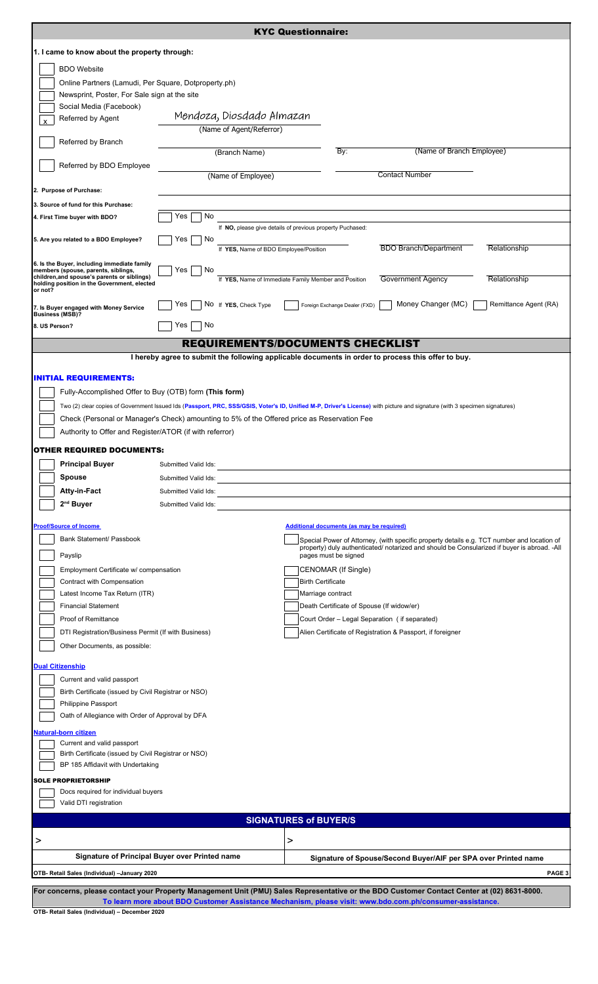| <b>KYC Questionnaire:</b>                                                                  |                                                                                                    |                                                                                                                        |                                                                                                                                                                                           |  |  |
|--------------------------------------------------------------------------------------------|----------------------------------------------------------------------------------------------------|------------------------------------------------------------------------------------------------------------------------|-------------------------------------------------------------------------------------------------------------------------------------------------------------------------------------------|--|--|
| 1. I came to know about the property through:                                              |                                                                                                    |                                                                                                                        |                                                                                                                                                                                           |  |  |
| <b>BDO</b> Website                                                                         |                                                                                                    |                                                                                                                        |                                                                                                                                                                                           |  |  |
| Online Partners (Lamudi, Per Square, Dotproperty.ph)                                       |                                                                                                    |                                                                                                                        |                                                                                                                                                                                           |  |  |
| Newsprint, Poster, For Sale sign at the site                                               |                                                                                                    |                                                                                                                        |                                                                                                                                                                                           |  |  |
| Social Media (Facebook)<br>Referred by Agent                                               | Mendoza, Diosdado Almazan                                                                          |                                                                                                                        |                                                                                                                                                                                           |  |  |
|                                                                                            | (Name of Agent/Referror)                                                                           |                                                                                                                        |                                                                                                                                                                                           |  |  |
| Referred by Branch                                                                         |                                                                                                    |                                                                                                                        |                                                                                                                                                                                           |  |  |
| Referred by BDO Employee                                                                   | (Branch Name)                                                                                      | By:                                                                                                                    | (Name of Branch Employee)                                                                                                                                                                 |  |  |
|                                                                                            | (Name of Employee)                                                                                 |                                                                                                                        | <b>Contact Number</b>                                                                                                                                                                     |  |  |
| 2. Purpose of Purchase:                                                                    |                                                                                                    |                                                                                                                        |                                                                                                                                                                                           |  |  |
| 3. Source of fund for this Purchase:                                                       |                                                                                                    |                                                                                                                        |                                                                                                                                                                                           |  |  |
| 4. First Time buyer with BDO?                                                              | No<br>Yes                                                                                          |                                                                                                                        |                                                                                                                                                                                           |  |  |
| 5. Are you related to a BDO Employee?                                                      | Yes<br>No                                                                                          | If NO, please give details of previous property Puchased:                                                              |                                                                                                                                                                                           |  |  |
|                                                                                            | If YES, Name of BDO Employee/Position                                                              |                                                                                                                        | <b>BDO Branch/Department</b><br>Relationship                                                                                                                                              |  |  |
| 6. Is the Buyer, including immediate family<br>members (spouse, parents, siblings,         | Yes<br>No                                                                                          |                                                                                                                        |                                                                                                                                                                                           |  |  |
| children, and spouse's parents or siblings)<br>holding position in the Government, elected |                                                                                                    | If YES, Name of Immediate Family Member and Position                                                                   | <b>Government Agency</b><br>Relationship                                                                                                                                                  |  |  |
| or not?                                                                                    | No If YES, Check Type<br>Yes                                                                       |                                                                                                                        | Money Changer (MC)                                                                                                                                                                        |  |  |
| 7. Is Buyer engaged with Money Service<br><b>Business (MSB)?</b>                           |                                                                                                    | Foreign Exchange Dealer (FXD)                                                                                          | Remittance Agent (RA)                                                                                                                                                                     |  |  |
| 8. US Person?                                                                              | Yes<br>No                                                                                          |                                                                                                                        |                                                                                                                                                                                           |  |  |
|                                                                                            | <b>REQUIREMENTS/DOCUMENTS CHECKLIST</b>                                                            |                                                                                                                        |                                                                                                                                                                                           |  |  |
|                                                                                            | I hereby agree to submit the following applicable documents in order to process this offer to buy. |                                                                                                                        |                                                                                                                                                                                           |  |  |
| <b>INITIAL REQUIREMENTS:</b>                                                               |                                                                                                    |                                                                                                                        |                                                                                                                                                                                           |  |  |
| Fully-Accomplished Offer to Buy (OTB) form (This form)                                     |                                                                                                    |                                                                                                                        |                                                                                                                                                                                           |  |  |
|                                                                                            |                                                                                                    |                                                                                                                        | Two (2) clear copies of Government Issued Ids (Passport, PRC, SSS/GSIS, Voter's ID, Unified M-P, Driver's License) with picture and signature (with 3 specimen signatures)                |  |  |
|                                                                                            | Check (Personal or Manager's Check) amounting to 5% of the Offered price as Reservation Fee        |                                                                                                                        |                                                                                                                                                                                           |  |  |
| Authority to Offer and Register/ATOR (if with referror)                                    |                                                                                                    |                                                                                                                        |                                                                                                                                                                                           |  |  |
| OTHER REQUIRED DOCUMENTS:                                                                  |                                                                                                    |                                                                                                                        |                                                                                                                                                                                           |  |  |
| <b>Principal Buyer</b>                                                                     | Submitted Valid Ids:                                                                               |                                                                                                                        |                                                                                                                                                                                           |  |  |
| <b>Spouse</b>                                                                              | Submitted Valid Ids:                                                                               |                                                                                                                        |                                                                                                                                                                                           |  |  |
| Atty-in-Fact                                                                               | Submitted Valid Ids:                                                                               | <u> 1989 - Johann Stein, mars an de France en France en 1989 - France en 1989 - France en 1989 - France en 1989 - </u> |                                                                                                                                                                                           |  |  |
| 2 <sup>nd</sup> Buyer                                                                      | Submitted Valid Ids:                                                                               |                                                                                                                        |                                                                                                                                                                                           |  |  |
| <b>Proof/Source of Income</b>                                                              |                                                                                                    | Additional documents (as may be required)                                                                              |                                                                                                                                                                                           |  |  |
| Bank Statement/ Passbook                                                                   |                                                                                                    |                                                                                                                        | Special Power of Attorney, (with specific property details e.g. TCT number and location of<br>property) duly authenticated/ notarized and should be Consularized if buyer is abroad. -All |  |  |
| Payslip                                                                                    |                                                                                                    | pages must be signed                                                                                                   |                                                                                                                                                                                           |  |  |
| Employment Certificate w/ compensation                                                     |                                                                                                    | CENOMAR (If Single)                                                                                                    |                                                                                                                                                                                           |  |  |
| Contract with Compensation                                                                 |                                                                                                    | <b>Birth Certificate</b>                                                                                               |                                                                                                                                                                                           |  |  |
| Latest Income Tax Return (ITR)<br><b>Financial Statement</b>                               |                                                                                                    | Marriage contract<br>Death Certificate of Spouse (If widow/er)                                                         |                                                                                                                                                                                           |  |  |
| Proof of Remittance                                                                        |                                                                                                    | Court Order - Legal Separation (if separated)                                                                          |                                                                                                                                                                                           |  |  |
| DTI Registration/Business Permit (If with Business)                                        |                                                                                                    |                                                                                                                        | Alien Certificate of Registration & Passport, if foreigner                                                                                                                                |  |  |
| Other Documents, as possible:                                                              |                                                                                                    |                                                                                                                        |                                                                                                                                                                                           |  |  |
| <b>Dual Citizenship</b>                                                                    |                                                                                                    |                                                                                                                        |                                                                                                                                                                                           |  |  |
| Current and valid passport                                                                 |                                                                                                    |                                                                                                                        |                                                                                                                                                                                           |  |  |
| Birth Certificate (issued by Civil Registrar or NSO)                                       |                                                                                                    |                                                                                                                        |                                                                                                                                                                                           |  |  |
| Philippine Passport<br>Oath of Allegiance with Order of Approval by DFA                    |                                                                                                    |                                                                                                                        |                                                                                                                                                                                           |  |  |
|                                                                                            |                                                                                                    |                                                                                                                        |                                                                                                                                                                                           |  |  |
| Natural-born citizen<br>Current and valid passport                                         |                                                                                                    |                                                                                                                        |                                                                                                                                                                                           |  |  |
| Birth Certificate (issued by Civil Registrar or NSO)                                       |                                                                                                    |                                                                                                                        |                                                                                                                                                                                           |  |  |
| BP 185 Affidavit with Undertaking                                                          |                                                                                                    |                                                                                                                        |                                                                                                                                                                                           |  |  |
| <b>SOLE PROPRIETORSHIP</b>                                                                 |                                                                                                    |                                                                                                                        |                                                                                                                                                                                           |  |  |
| Docs required for individual buyers<br>Valid DTI registration                              |                                                                                                    |                                                                                                                        |                                                                                                                                                                                           |  |  |
|                                                                                            |                                                                                                    | <b>SIGNATURES of BUYER/S</b>                                                                                           |                                                                                                                                                                                           |  |  |
|                                                                                            |                                                                                                    |                                                                                                                        |                                                                                                                                                                                           |  |  |
| >                                                                                          |                                                                                                    | >                                                                                                                      |                                                                                                                                                                                           |  |  |
|                                                                                            | Signature of Principal Buyer over Printed name                                                     |                                                                                                                        | Signature of Spouse/Second Buyer/AIF per SPA over Printed name                                                                                                                            |  |  |
| PAGE 3<br>OTB- Retail Sales (Individual) -January 2020                                     |                                                                                                    |                                                                                                                        |                                                                                                                                                                                           |  |  |
|                                                                                            |                                                                                                    |                                                                                                                        | For concerns, please contact your Property Management Unit (PMU) Sales Representative or the BDO Customer Contact Center at (02) 8631-8000.                                               |  |  |
|                                                                                            |                                                                                                    |                                                                                                                        | To learn more about BDO Customer Assistance Mechanism, please visit: www.bdo.com.ph/consumer-assistance.                                                                                  |  |  |

**OTB- Retail Sales (Individual) – December 2020**